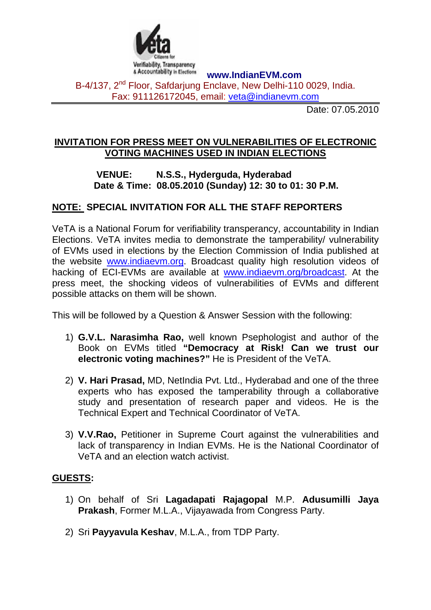

**www.IndianEVM.com** 

B-4/137, 2<sup>nd</sup> Floor, Safdarjung Enclave, New Delhi-110 0029, India. Fax: 911126172045, email: [veta@indianevm.com](mailto:veta@indianevm.com)

Date: 07.05.2010

## **INVITATION FOR PRESS MEET ON VULNERABILITIES OF ELECTRONIC VOTING MACHINES USED IN INDIAN ELECTIONS**

## **VENUE: N.S.S., Hyderguda, Hyderabad Date & Time: 08.05.2010 (Sunday) 12: 30 to 01: 30 P.M.**

## **NOTE: SPECIAL INVITATION FOR ALL THE STAFF REPORTERS**

VeTA is a National Forum for verifiability transperancy, accountability in Indian Elections. VeTA invites media to demonstrate the tamperability/ vulnerability of EVMs used in elections by the Election Commission of India published at the website [www.indiaevm.org.](http://www.indiaevm.org/) Broadcast quality high resolution videos of hacking of ECI-EVMs are available at [www.indiaevm.org/broadcast](http://www.indiaevm.org/broadcast). At the press meet, the shocking videos of vulnerabilities of EVMs and different possible attacks on them will be shown.

This will be followed by a Question & Answer Session with the following:

- 1) **G.V.L. Narasimha Rao,** well known Psephologist and author of the Book on EVMs titled **"Democracy at Risk! Can we trust our electronic voting machines?"** He is President of the VeTA.
- 2) **V. Hari Prasad,** MD, NetIndia Pvt. Ltd., Hyderabad and one of the three experts who has exposed the tamperability through a collaborative study and presentation of research paper and videos. He is the Technical Expert and Technical Coordinator of VeTA.
- 3) **V.V.Rao,** Petitioner in Supreme Court against the vulnerabilities and lack of transparency in Indian EVMs. He is the National Coordinator of VeTA and an election watch activist.

## **GUESTS:**

- 1) On behalf of Sri **Lagadapati Rajagopal** M.P. **Adusumilli Jaya Prakash**, Former M.L.A., Vijayawada from Congress Party.
- 2) Sri **Payyavula Keshav**, M.L.A., from TDP Party.